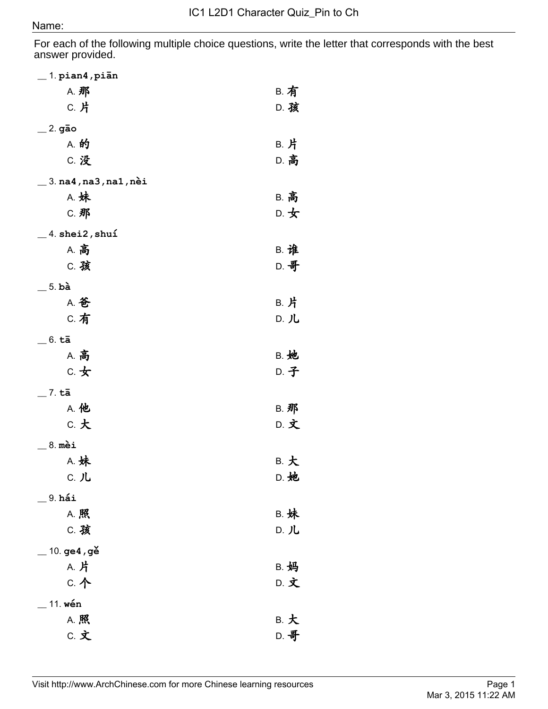## Name:

For each of the following multiple choice questions, write the letter that corresponds with the best answer provided.

| $\_$ 1. pian4, piān                                               |             |
|-------------------------------------------------------------------|-------------|
| A. 那                                                              | <b>B. 有</b> |
| C. 片                                                              | D. 孩        |
| $=$ 2. gão                                                        |             |
| A. 的                                                              | B. 片        |
| C. 没                                                              | D. 高        |
| $\_$ 3. $\verb na4 $ , $\verb na3 $ , $\verb na1 $ , $\verb nei $ |             |
| A. 妹                                                              | <b>B. 高</b> |
| C. 那                                                              | D. 女        |
| $\_$ 4. shei2, shuí                                               |             |
| <b>A. 高</b>                                                       | <b>B. 谁</b> |
| C. 孩                                                              | D. 哥        |
| $=$ 5. bà                                                         |             |
| A. 爸                                                              | B. 片        |
| C. 有                                                              | D. 儿        |
| $=$ 6. tā                                                         |             |
| <b>A. 高</b>                                                       | <b>B. 她</b> |
| $c.$ 女                                                            | D. 子        |
| $=$ 7. tā                                                         |             |
| A. 他                                                              | <b>B. 那</b> |
| c. 大                                                              | D. 文        |
| $= 8.$ mèi                                                        |             |
| A. 妹                                                              | B. 大        |
| ር. <b>JL</b>                                                      | D. 她        |
| $9. h$ ái                                                         |             |
| A. 照                                                              | <b>B. 妹</b> |
| C. 孩                                                              | D. 儿        |
| 10. ge4, gě                                                       |             |
| A. 片                                                              | <b>B. 妈</b> |
| C. 个                                                              | D. 文        |
| 11. wén                                                           |             |
| A. 照                                                              | B. 大        |
| C. 文                                                              | D. 哥        |
|                                                                   |             |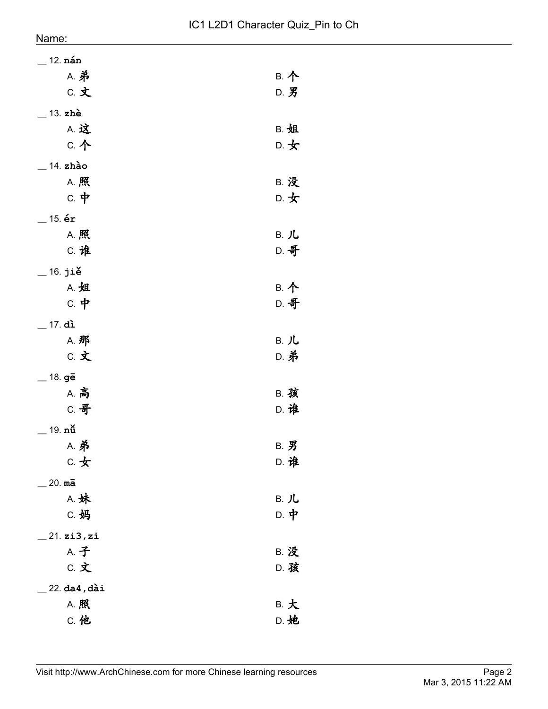| $=$ 12. nán    |             |
|----------------|-------------|
| <b>A. 弟</b>    | B. 个        |
| C. 文           | D. 男        |
| $-$ 13. zhè    |             |
| A. 这           | <b>B. 姐</b> |
| C. 个           | D. 女        |
| $=$ 14. zhào   |             |
| A. 照           | <b>B. 没</b> |
| $c.$ 中         | D. 女        |
| $=$ 15. ér     |             |
| A. 照           | B. 儿        |
| C. 谁           | D. 哥        |
| $=$ 16. jiě    |             |
| A. 姐           | B. 个        |
| $c.$ 中         | D. 哥        |
| $=$ 17. di     |             |
| A. 那           | B. 儿        |
| C. 文           | <b>D. 弟</b> |
| $=$ 18. gē     |             |
| <b>A. 高</b>    | <b>B. 孩</b> |
| C. 哥           | D. 谁        |
| $=$ 19. nů     |             |
| <b>A. 弟</b>    | <b>B. 男</b> |
| $c.$ 女         | D. 谁        |
| $=$ 20. ma     |             |
| A. 妹           | B. 儿        |
| C. 妈           | D. 中        |
| 21.zi3,zi      |             |
| A. 子           | <b>B. 没</b> |
| C. 文           | D. 孩        |
| $22.$ da4, dài |             |
| A. 照           | B. 大        |
| <b>C. 他</b>    | D. 她        |